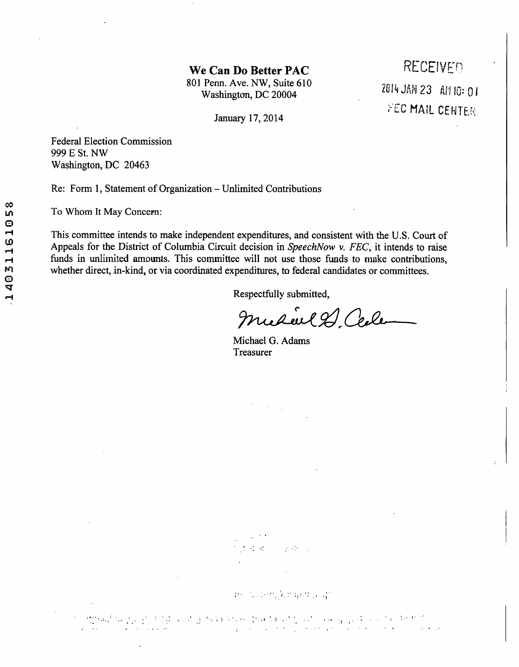## *We Can Do Better PAC RECEIVED*

801 Penn. Ave. NW, Suite 610<br>Westington DC 20004 2014 JAN 23 AM 10: 01 Washington, DC 20004

January 17, 2014

Federal Election Commission 999 E St. NW Washington, DC 20463

Re: Form 1, Statement of Organization - Unlimited Contributions

To Whom It May Concern:

This committee intends to make independent expenditures, and consistent with the U.S. Court of Appeals for the District of Columbia Circuit decision in SpeechNow v. FEC, it intends to raise funds in unlimited amounts. This committee will not use those fimds to make contributions. **M** whether direct, in-kind, or via coordinated expenditures, to federal candidates or committees.<br>  $\Theta$ 

Respectfully submitted,

Musicle Cele

FEC MAIL CENTER

Michael G. Adams Treasurer

.<br>2003 - Paul Valley, fisik menyebatkan pendangan<br>2003 - Paul Valley, pendangan pendangan pendangan pendangan pendangan pendangan pendangan pendangan pendangan  $\begin{split} &\sum_{\mathbf{q}\in\mathbb{Z}}\left(\mathbf{q},\mathbf{q}^{\mathbf{q}}\right) =\sqrt{\mathbf{q}}\cdot\mathbf{q}\cdot\mathbf{q}\cdot\mathbf{q}\cdot\mathbf{q}\cdot\mathbf{q}\cdot\mathbf{q}\cdot\mathbf{q}\cdot\mathbf{q}\cdot\mathbf{q}\cdot\mathbf{q}\cdot\mathbf{q}\cdot\mathbf{q}\cdot\mathbf{q}\cdot\mathbf{q}\cdot\mathbf{q}\cdot\mathbf{q}\cdot\mathbf{q}\cdot\mathbf{q}\cdot\mathbf{q}\cdot\mathbf{q}\cdot\mathbf{q}\cdot\mathbf{q}\cdot\mathbf{q}\cdot\math$ 

 $\mathcal{L}^{\text{max}}$ 

 $\mathcal{L}^{\text{max}}_{\text{max}}$ 

Benedictiert, wir gert gestr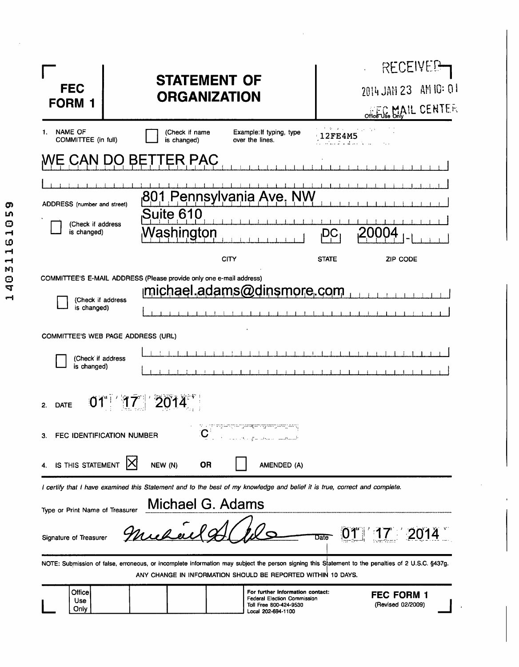| <b>FEC</b><br>FORM 1                                                                                                                                                              |                               | <b>STATEMENT OF</b><br><b>ORGANIZATION</b> |                                                                                                                            |                                             | <b>RECEIVE</b><br>2014 JAH 23 AM 10: 0<br>Office USe Only IL CENTER                                                                               |
|-----------------------------------------------------------------------------------------------------------------------------------------------------------------------------------|-------------------------------|--------------------------------------------|----------------------------------------------------------------------------------------------------------------------------|---------------------------------------------|---------------------------------------------------------------------------------------------------------------------------------------------------|
| 1. NAME OF<br>COMMITTEE (in full)                                                                                                                                                 | (Check if name<br>is changed) |                                            | Example: If typing, type<br>over the lines.                                                                                | <b>2FE4M5</b><br>للمالية المسابقة الاستكشار | 中国电影 人名英格兰                                                                                                                                        |
|                                                                                                                                                                                   | <b>ER PAC</b>                 |                                            |                                                                                                                            |                                             |                                                                                                                                                   |
|                                                                                                                                                                                   |                               |                                            |                                                                                                                            |                                             |                                                                                                                                                   |
| ADDRESS (number and street)                                                                                                                                                       |                               |                                            | 801 Pennsylvania Ave. NW                                                                                                   |                                             |                                                                                                                                                   |
| (Check if address                                                                                                                                                                 | Suite 610                     |                                            |                                                                                                                            |                                             |                                                                                                                                                   |
| is changed)                                                                                                                                                                       | ashington                     |                                            |                                                                                                                            |                                             |                                                                                                                                                   |
|                                                                                                                                                                                   |                               | <b>CITY</b>                                |                                                                                                                            | <b>STATE</b>                                | ZIP CODE                                                                                                                                          |
| COMMITTEE'S E-MAIL ADDRESS (Please provide only one e-mail address)<br>(Check if address<br>is changed)<br>COMMITTEE'S WEB PAGE ADDRESS (URL)<br>(Check if address<br>is changed) |                               |                                            | chael.adams@dinsmore.com                                                                                                   |                                             |                                                                                                                                                   |
| <b>DATE</b><br>2.                                                                                                                                                                 |                               |                                            |                                                                                                                            |                                             |                                                                                                                                                   |
| 3.<br>FEC IDENTIFICATION NUMBER                                                                                                                                                   |                               |                                            | <u>v i presenperandensen med en </u><br>of the country of the special communication                                        |                                             |                                                                                                                                                   |
| IS THIS STATEMENT<br>4.                                                                                                                                                           | NEW (N)                       | <b>OR</b>                                  | AMENDED (A)                                                                                                                |                                             |                                                                                                                                                   |
| Type or Print Name of Treasurer                                                                                                                                                   | Michael G. Adams              |                                            | I certify that I have examined this Statement and to the best of my knowledge and belief it is true, correct and complete. |                                             |                                                                                                                                                   |
| Signature of Treasurer                                                                                                                                                            | Mucha                         |                                            |                                                                                                                            | Date                                        |                                                                                                                                                   |
|                                                                                                                                                                                   |                               |                                            | ANY CHANGE IN INFORMATION SHOULD BE REPORTED WITHIN 10 DAYS.                                                               |                                             | NOTE: Submission of false, erroneous, or incomplete information may subject the person signing this Statement to the penalties of 2 U.S.C. §437g. |
| Office<br>Use<br>Only                                                                                                                                                             |                               |                                            | For further information contact:<br><b>Federal Election Commission</b><br>Toll Free 800-424-9530<br>Local 202-694-1100     |                                             | <b>FEC FORM 1</b><br>(Revised 02/2009)                                                                                                            |

 $\ddot{\phantom{a}}$ 

 $\overline{a}$ 

 $\mathbf{r}$ 

 $\hat{\boldsymbol{\gamma}}$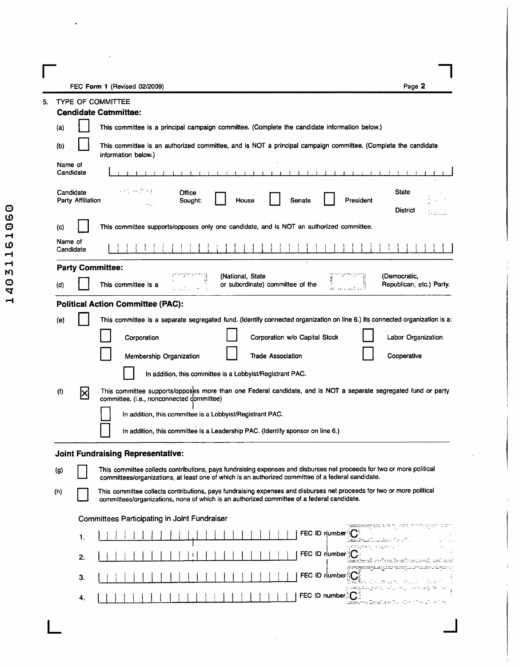FEC Form 1 (Revised 02/2009) Page 2

**r** 

÷

| 5. |                      |                   | TYPE OF COMMITTEE<br><b>Candidate Committee:</b>                                                                                                                                                                                                        |
|----|----------------------|-------------------|---------------------------------------------------------------------------------------------------------------------------------------------------------------------------------------------------------------------------------------------------------|
|    | (a)                  |                   | This committee is a principal campaign committee. (Complete the candidate information below.)                                                                                                                                                           |
|    | (b)                  |                   | This committee is an authorized committee, and is NOT a principal campaign committee. (Complete the candidate                                                                                                                                           |
|    |                      |                   | information below.)                                                                                                                                                                                                                                     |
|    | Name of<br>Candidate |                   | ter bei den den den den den bestieden der aber den dem bestimmten der den den der den bestimmten der der den b                                                                                                                                          |
|    | Candidate            | Party Affiliation | 医前列腺 的复数<br><b>State</b><br>Office<br>Senate<br>President<br>Sought:<br>House<br>the company<br><b>District</b>                                                                                                                                         |
|    | (c)                  |                   | This committee supports/opposes only one candidate, and is NOT an authorized committee.                                                                                                                                                                 |
|    | Name of<br>Candidate |                   |                                                                                                                                                                                                                                                         |
|    |                      |                   | <b>Party Committee:</b>                                                                                                                                                                                                                                 |
|    | (d)                  |                   | (National, State<br>(Democratic,<br>or subordinate) committee of the<br>Republican, etc.) Party.<br>This committee is a<br>San State Gallery                                                                                                            |
|    |                      |                   | <b>Political Action Committee (PAC):</b>                                                                                                                                                                                                                |
|    | (e)                  |                   | This committee is a separate segregated fund. (Identify connected organization on line 6.) Its connected organization is a:                                                                                                                             |
|    |                      |                   | Corporation w/o Capital Stock<br>Labor Organization<br>Corporation                                                                                                                                                                                      |
|    |                      |                   | <b>Trade Association</b><br>Cooperative<br>Membership Organization                                                                                                                                                                                      |
|    |                      |                   | In addition, this committee is a Lobbyist/Registrant PAC.                                                                                                                                                                                               |
|    | (t)                  | M                 | This committee supports/opposes more than one Federal candidate, and is NOT a separate segregated fund or party                                                                                                                                         |
|    |                      |                   | committee. (i.e., nonconnected committee)                                                                                                                                                                                                               |
|    |                      |                   | In addition, this committee is a Lobbyist/Registrant PAC.                                                                                                                                                                                               |
|    |                      |                   | In addition, this committee is a Leadership PAC. (Identify sponsor on line 6.)                                                                                                                                                                          |
|    |                      |                   | <b>Joint Fundraising Representative:</b>                                                                                                                                                                                                                |
|    | (g)                  |                   | This committee collects contributions, pays fundraising expenses and disburses net proceeds for two or more political<br>committees/organizations, at least one of which is an authorized committee of a federal eandidate.                             |
|    | (h)                  |                   | This committee collects contributions, pays fundraising expenses and disburses net proceeds for two or more political<br>committees/organizations, none of which is an authorized committee of a federal candidate.                                     |
|    |                      |                   | <b>Committees Participating in Joint Fundraiser</b>                                                                                                                                                                                                     |
|    |                      | 1.                | raamspeeltre een te meer van de verschijn van de verschijn van de verschijn van de verschijn van de verschijn<br>FEC ID number<br><u>. katal politica de la provincia de la provincia de la provincia de la provincia de la provincia de la provinc</u> |
|    |                      | 2.                | والممروعات ومعجزه حفا<br>FEC ID number $($ )                                                                                                                                                                                                            |
|    |                      |                   | <u>laiste af sefase test meland ast and</u><br>presigning along an party-considered party                                                                                                                                                               |
|    |                      | З.                | FEC ID number<br>a∰es provincia se to conto o consecuto o co<br>مكار الحرام والاحترار وإلمار ورميدا ومعالي والالعماء                                                                                                                                    |
|    |                      | 4.                | FEC ID number<br><del>el</del> emptmetentrote (1962) mins                                                                                                                                                                                               |
|    |                      |                   |                                                                                                                                                                                                                                                         |
|    |                      |                   |                                                                                                                                                                                                                                                         |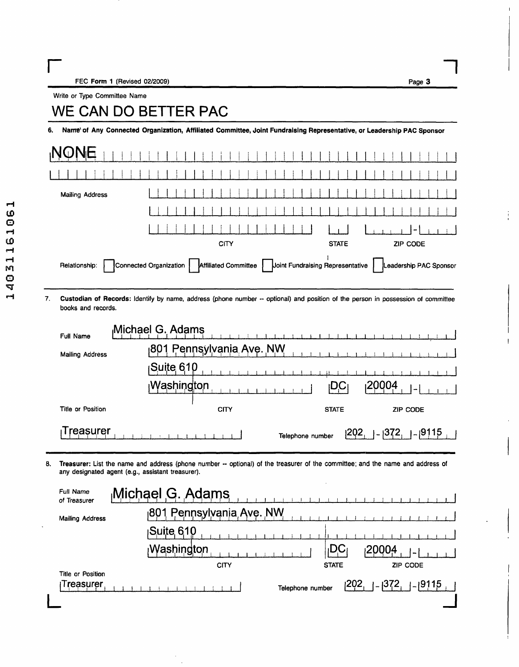Write or Type Committee Name

## **WE CAN DO BETTER PAC**

6. Name of Any Connected Organization, Affiliated Committee, Joint Fundraising Representative, or Leadership PAC Sponsor

| <b>Mailing Address</b> |                                                                                  |              |                          |
|------------------------|----------------------------------------------------------------------------------|--------------|--------------------------|
|                        |                                                                                  |              |                          |
|                        |                                                                                  |              | $\overline{\phantom{a}}$ |
|                        | CITY                                                                             | <b>STATE</b> | ZIP CODE                 |
| Relationship:          | Connected Organization   Affiliated Committee   Joint Fundraising Representative |              | Leadership PAC Sponsor   |

7. Custodian of Records: Identify by name, address (phone number ~ optional) and position of the person in possession of committee books and records.

| Full Name              | Michael G. Adams         |                          |                  |
|------------------------|--------------------------|--------------------------|------------------|
| <b>Mailing Address</b> | 801 Pennsylvania Ave. NW |                          |                  |
|                        | Suite 610                |                          |                  |
|                        | <b>Washington</b>        | <b>IDC</b>               | 20004            |
| Title or Position      | <b>CITY</b>              | <b>STATE</b>             | <b>ZIP CODE</b>  |
| reasurer               |                          | 202 <br>Telephone number | $-1372$<br> 9115 |

8. Treasurer: List the name and address (phone number -- optional) of the treasurer of the committee; and the name and address of any designated agent (e.g., assistant treasurer).

| Full Name<br>of Treasurer | Michael G. Adams         |                  |                           |
|---------------------------|--------------------------|------------------|---------------------------|
| <b>Mailing Address</b>    | 801 Pennsylvania Ave. NW |                  |                           |
|                           | Suite 610                |                  |                           |
|                           | <b>Washington</b>        | <sub>I</sub> DC  | 20004                     |
| <b>Title or Position</b>  | <b>CITY</b>              | <b>STATE</b>     | <b>ZIP CODE</b>           |
| Treasurer                 |                          | Telephone number | 1202<br>$-1372$<br>. 9115 |
|                           |                          |                  |                           |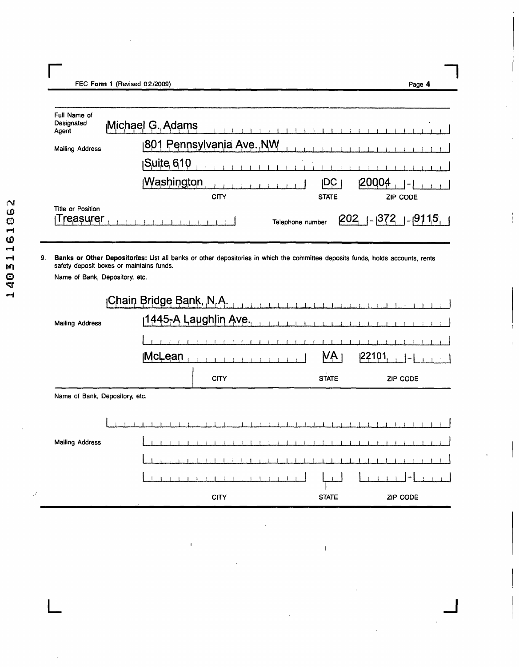FEC Form 1 (Revised 02/2009)

| Full Name of<br>Designated<br>Agent                                                                                                                                                                                | Michael G. Adams                      |                   |                         |  |  |  |  |
|--------------------------------------------------------------------------------------------------------------------------------------------------------------------------------------------------------------------|---------------------------------------|-------------------|-------------------------|--|--|--|--|
| <b>Mailing Address</b>                                                                                                                                                                                             | <sub>I</sub> 801 Pennsylvania Ave. NW |                   |                         |  |  |  |  |
|                                                                                                                                                                                                                    | Suite 610                             |                   |                         |  |  |  |  |
|                                                                                                                                                                                                                    | Washington<br><b>CITY</b>             | C<br><b>STATE</b> | 20004<br>ZIP CODE       |  |  |  |  |
| Title or Position<br>easurer                                                                                                                                                                                       | Telephone number                      |                   | $202 + 372$<br>$-19115$ |  |  |  |  |
| 9.<br>Banks or Other Depositories: List all banks or other depositories in which the committee deposits funds, holds accounts, rents<br>safety deposit boxes or maintains funds.<br>Name of Bank, Depository, etc. |                                       |                   |                         |  |  |  |  |
|                                                                                                                                                                                                                    | <sub>I</sub> Chain Bridge Bank, N.A.  |                   |                         |  |  |  |  |
| <b>Mailing Address</b>                                                                                                                                                                                             | 1445-A Laughlin Ave.,                 |                   |                         |  |  |  |  |
|                                                                                                                                                                                                                    |                                       |                   |                         |  |  |  |  |
|                                                                                                                                                                                                                    | <b>McLean</b>                         | МA                | 22101                   |  |  |  |  |
|                                                                                                                                                                                                                    | <b>CITY</b>                           | <b>STATE</b>      | ZIP CODE                |  |  |  |  |
| Name of Bank, Depository, etc.                                                                                                                                                                                     |                                       |                   |                         |  |  |  |  |
|                                                                                                                                                                                                                    |                                       |                   |                         |  |  |  |  |
| <b>Mailing Address</b>                                                                                                                                                                                             |                                       |                   |                         |  |  |  |  |
|                                                                                                                                                                                                                    |                                       |                   |                         |  |  |  |  |
|                                                                                                                                                                                                                    |                                       |                   |                         |  |  |  |  |

**CITY** 

 $\overline{1}$ 

**STATE** 

 $\overline{1}$ 

ZIP CODE

 $\mathcal{J}$ 

Page 4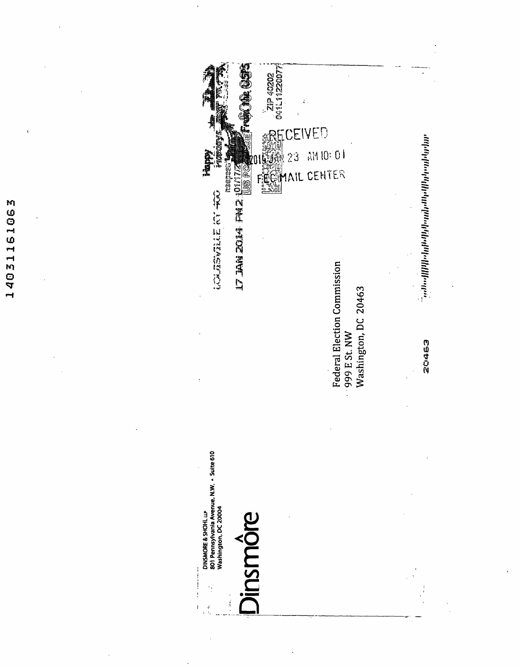14031161063

2110 40202 Fruit Die Octo EIVED 清理的 ди 10: 01 **Happy** 2 ુ neoposu **To the cole fine college ENTERNAIL CENTER CONFIGURATION** Federal Election Commission<br>999 E St. NW Washington, DC 20463 20463 DINSMORE & SHOHL LLP<br>801 Pennsylvania Avenue, N.W. ^ Suite 610<br>Washington, DC 20004 insmôre f) Ţ ķ.